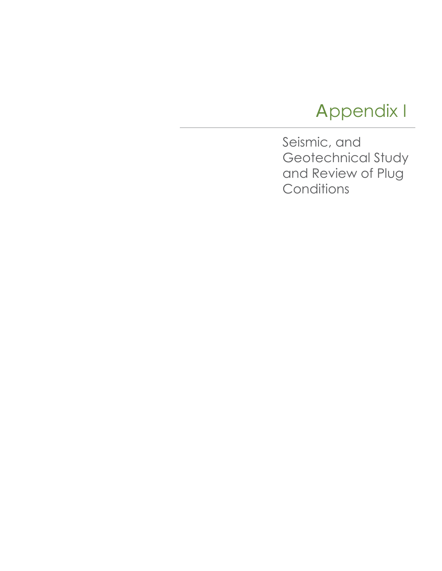# Appendix I

Seismic, and Geotechnical Study and Review of Plug **Conditions**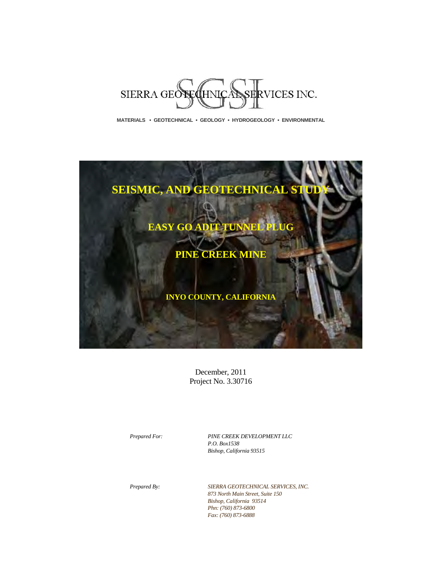

**MATERIALS • GEOTECHNICAL • GEOLOGY • HYDROGEOLOGY • ENVIRONMENTAL** 



December, 2011 Project No. 3.30716

*Prepared For: PINE CREEK DEVELOPMENT LLC P.O. Box1538 Bishop, California 93515*

*Prepared By: SIERRA GEOTECHNICAL SERVICES, INC. 873 North Main Street, Suite 150 Bishop, California 93514 Phn: (760) 873-6800 Fax: (760) 873-6888*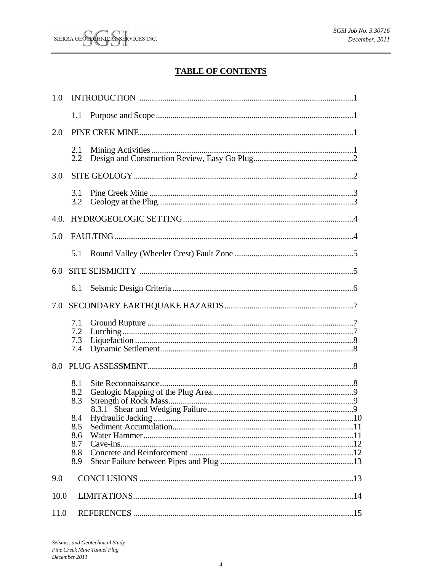## **TABLE OF CONTENTS**

| 1.0  |                                 |  |  |  |
|------|---------------------------------|--|--|--|
|      | 1.1                             |  |  |  |
| 2.0  |                                 |  |  |  |
|      | 2.1<br>2.2                      |  |  |  |
| 3.0  |                                 |  |  |  |
|      | 3.1<br>3.2                      |  |  |  |
| 4.0. |                                 |  |  |  |
| 5.0  |                                 |  |  |  |
|      | 5.1                             |  |  |  |
| 6.0  |                                 |  |  |  |
|      | 6.1                             |  |  |  |
| 7.0  |                                 |  |  |  |
|      | 7.1<br>7.2<br>7.3<br>7.4        |  |  |  |
| 8.0  |                                 |  |  |  |
|      | 8.1<br>8.2<br>8.3<br>8.4<br>8.5 |  |  |  |
|      | 8.6<br>8.7                      |  |  |  |
|      | 8.8<br>8.9                      |  |  |  |
| 9.0  |                                 |  |  |  |
| 10.0 |                                 |  |  |  |
| 11.0 |                                 |  |  |  |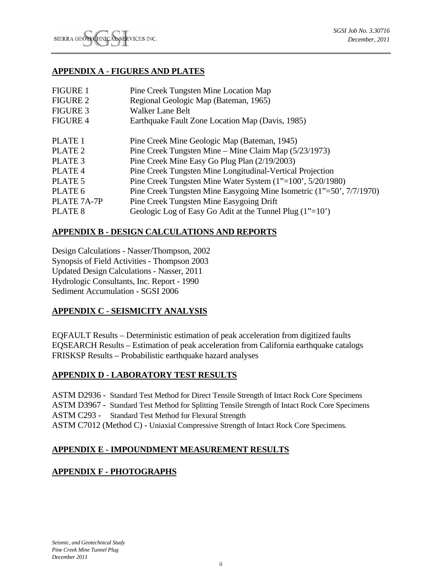#### **APPENDIX A - FIGURES AND PLATES**

| <b>FIGURE 1</b>    | Pine Creek Tungsten Mine Location Map                                |
|--------------------|----------------------------------------------------------------------|
| <b>FIGURE 2</b>    | Regional Geologic Map (Bateman, 1965)                                |
| <b>FIGURE 3</b>    | <b>Walker Lane Belt</b>                                              |
| <b>FIGURE 4</b>    | Earthquake Fault Zone Location Map (Davis, 1985)                     |
|                    |                                                                      |
| PLATE 1            | Pine Creek Mine Geologic Map (Bateman, 1945)                         |
| PLATE <sub>2</sub> | Pine Creek Tungsten Mine – Mine Claim Map (5/23/1973)                |
| PLATE <sub>3</sub> | Pine Creek Mine Easy Go Plug Plan (2/19/2003)                        |
| PLATE <sub>4</sub> | Pine Creek Tungsten Mine Longitudinal-Vertical Projection            |
| PLATE 5            | Pine Creek Tungsten Mine Water System (1"=100', 5/20/1980)           |
| PLATE 6            | Pine Creek Tungsten Mine Easygoing Mine Isometric (1"=50', 7/7/1970) |
| PLATE 7A-7P        | Pine Creek Tungsten Mine Easygoing Drift                             |
| PLATE 8            | Geologic Log of Easy Go Adit at the Tunnel Plug $(1"=10")$           |

#### **APPENDIX B - DESIGN CALCULATIONS AND REPORTS**

Design Calculations - Nasser/Thompson, 2002 Synopsis of Field Activities - Thompson 2003 Updated Design Calculations - Nasser, 2011 Hydrologic Consultants, Inc. Report - 1990 Sediment Accumulation - SGSI 2006

## **APPENDIX C - SEISMICITY ANALYSIS**

EQFAULT Results – Deterministic estimation of peak acceleration from digitized faults EQSEARCH Results – Estimation of peak acceleration from California earthquake catalogs FRISKSP Results – Probabilistic earthquake hazard analyses

#### **APPENDIX D - LABORATORY TEST RESULTS**

ASTM D2936 - Standard Test Method for Direct Tensile Strength of Intact Rock Core Specimens ASTM D3967 - Standard Test Method for Splitting Tensile Strength of Intact Rock Core Specimens ASTM C293 - Standard Test Method for Flexural Strength ASTM C7012 (Method C) - Uniaxial Compressive Strength of Intact Rock Core Specimens.

## **APPENDIX E - IMPOUNDMENT MEASUREMENT RESULTS**

## **APPENDIX F - PHOTOGRAPHS**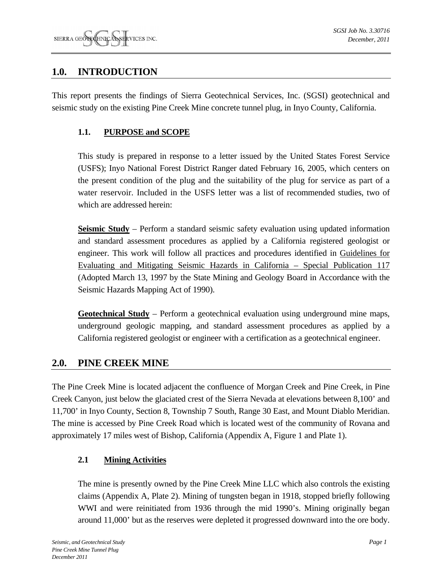## **1.0. INTRODUCTION**

This report presents the findings of Sierra Geotechnical Services, Inc. (SGSI) geotechnical and seismic study on the existing Pine Creek Mine concrete tunnel plug, in Inyo County, California.

## **1.1. PURPOSE and SCOPE**

This study is prepared in response to a letter issued by the United States Forest Service (USFS); Inyo National Forest District Ranger dated February 16, 2005, which centers on the present condition of the plug and the suitability of the plug for service as part of a water reservoir. Included in the USFS letter was a list of recommended studies, two of which are addressed herein:

**Seismic Study** – Perform a standard seismic safety evaluation using updated information and standard assessment procedures as applied by a California registered geologist or engineer. This work will follow all practices and procedures identified in Guidelines for Evaluating and Mitigating Seismic Hazards in California – Special Publication 117 (Adopted March 13, 1997 by the State Mining and Geology Board in Accordance with the Seismic Hazards Mapping Act of 1990).

**Geotechnical Study** – Perform a geotechnical evaluation using underground mine maps, underground geologic mapping, and standard assessment procedures as applied by a California registered geologist or engineer with a certification as a geotechnical engineer.

## **2.0. PINE CREEK MINE**

The Pine Creek Mine is located adjacent the confluence of Morgan Creek and Pine Creek, in Pine Creek Canyon, just below the glaciated crest of the Sierra Nevada at elevations between 8,100' and 11,700' in Inyo County, Section 8, Township 7 South, Range 30 East, and Mount Diablo Meridian. The mine is accessed by Pine Creek Road which is located west of the community of Rovana and approximately 17 miles west of Bishop, California (Appendix A, Figure 1 and Plate 1).

## **2.1 Mining Activities**

The mine is presently owned by the Pine Creek Mine LLC which also controls the existing claims (Appendix A, Plate 2). Mining of tungsten began in 1918, stopped briefly following WWI and were reinitiated from 1936 through the mid 1990's. Mining originally began around 11,000' but as the reserves were depleted it progressed downward into the ore body.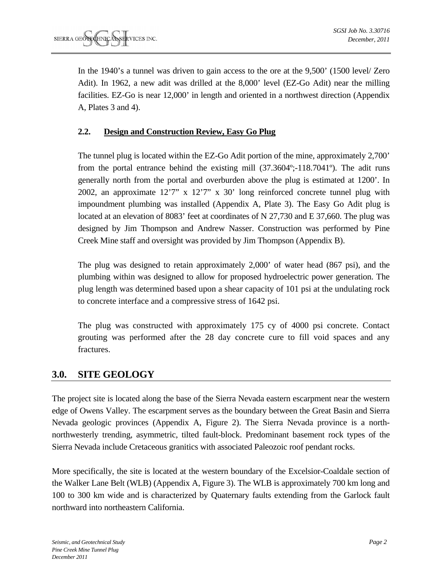In the 1940's a tunnel was driven to gain access to the ore at the 9,500' (1500 level/ Zero Adit). In 1962, a new adit was drilled at the 8,000' level (EZ-Go Adit) near the milling facilities. EZ-Go is near 12,000' in length and oriented in a northwest direction (Appendix A, Plates 3 and 4).

## **2.2. Design and Construction Review, Easy Go Plug**

The tunnel plug is located within the EZ-Go Adit portion of the mine, approximately 2,700' from the portal entrance behind the existing mill  $(37.3604^{\circ}$ ; 118.7041<sup>o</sup>). The adit runs generally north from the portal and overburden above the plug is estimated at 1200'. In 2002, an approximate 12'7" x 12'7" x 30' long reinforced concrete tunnel plug with impoundment plumbing was installed (Appendix A, Plate 3). The Easy Go Adit plug is located at an elevation of 8083' feet at coordinates of N 27,730 and E 37,660. The plug was designed by Jim Thompson and Andrew Nasser. Construction was performed by Pine Creek Mine staff and oversight was provided by Jim Thompson (Appendix B).

The plug was designed to retain approximately 2,000' of water head (867 psi), and the plumbing within was designed to allow for proposed hydroelectric power generation. The plug length was determined based upon a shear capacity of 101 psi at the undulating rock to concrete interface and a compressive stress of 1642 psi.

The plug was constructed with approximately 175 cy of 4000 psi concrete. Contact grouting was performed after the 28 day concrete cure to fill void spaces and any fractures.

## **3.0. SITE GEOLOGY**

The project site is located along the base of the Sierra Nevada eastern escarpment near the western edge of Owens Valley. The escarpment serves as the boundary between the Great Basin and Sierra Nevada geologic provinces (Appendix A, Figure 2). The Sierra Nevada province is a northnorthwesterly trending, asymmetric, tilted fault-block. Predominant basement rock types of the Sierra Nevada include Cretaceous granitics with associated Paleozoic roof pendant rocks.

More specifically, the site is located at the western boundary of the Excelsior-Coaldale section of the Walker Lane Belt (WLB) (Appendix A, Figure 3). The WLB is approximately 700 km long and 100 to 300 km wide and is characterized by Quaternary faults extending from the Garlock fault northward into northeastern California.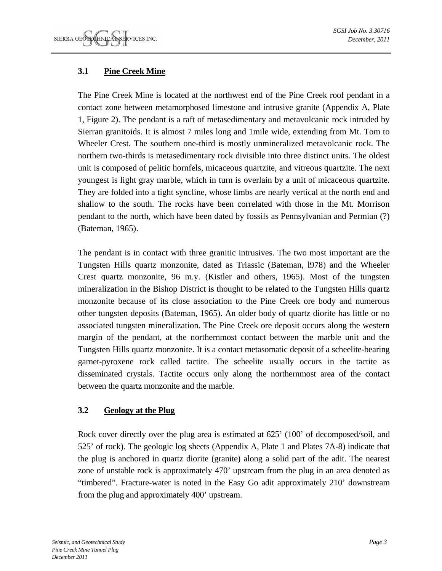## **3.1 Pine Creek Mine**

The Pine Creek Mine is located at the northwest end of the Pine Creek roof pendant in a contact zone between metamorphosed limestone and intrusive granite (Appendix A, Plate 1, Figure 2). The pendant is a raft of metasedimentary and metavolcanic rock intruded by Sierran granitoids. It is almost 7 miles long and 1mile wide, extending from Mt. Tom to Wheeler Crest. The southern one-third is mostly unmineralized metavolcanic rock. The northern two-thirds is metasedimentary rock divisible into three distinct units. The oldest unit is composed of pelitic hornfels, micaceous quartzite, and vitreous quartzite. The next youngest is light gray marble, which in turn is overlain by a unit of micaceous quartzite. They are folded into a tight syncline, whose limbs are nearly vertical at the north end and shallow to the south. The rocks have been correlated with those in the Mt. Morrison pendant to the north, which have been dated by fossils as Pennsylvanian and Permian (?) (Bateman, 1965).

The pendant is in contact with three granitic intrusives. The two most important are the Tungsten Hills quartz monzonite, dated as Triassic (Bateman, l978) and the Wheeler Crest quartz monzonite, 96 m.y. (Kistler and others, 1965). Most of the tungsten mineralization in the Bishop District is thought to be related to the Tungsten Hills quartz monzonite because of its close association to the Pine Creek ore body and numerous other tungsten deposits (Bateman, 1965). An older body of quartz diorite has little or no associated tungsten mineralization. The Pine Creek ore deposit occurs along the western margin of the pendant, at the northernmost contact between the marble unit and the Tungsten Hills quartz monzonite. It is a contact metasomatic deposit of a scheelite-bearing garnet-pyroxene rock called tactite. The scheelite usually occurs in the tactite as disseminated crystals. Tactite occurs only along the northernmost area of the contact between the quartz monzonite and the marble.

## **3.2 Geology at the Plug**

Rock cover directly over the plug area is estimated at 625' (100' of decomposed/soil, and 525' of rock). The geologic log sheets (Appendix A, Plate 1 and Plates 7A-8) indicate that the plug is anchored in quartz diorite (granite) along a solid part of the adit. The nearest zone of unstable rock is approximately 470' upstream from the plug in an area denoted as "timbered". Fracture-water is noted in the Easy Go adit approximately 210' downstream from the plug and approximately 400' upstream.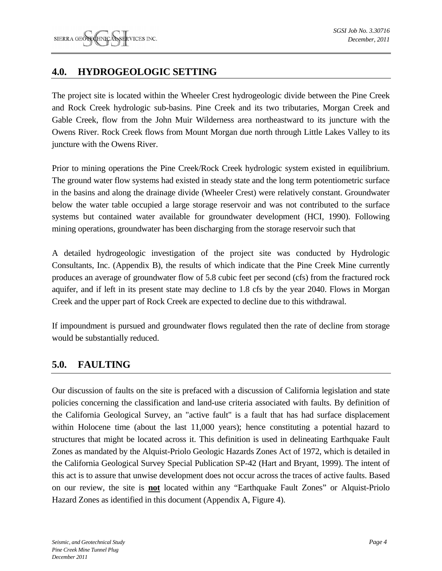## **4.0. HYDROGEOLOGIC SETTING**

The project site is located within the Wheeler Crest hydrogeologic divide between the Pine Creek and Rock Creek hydrologic sub-basins. Pine Creek and its two tributaries, Morgan Creek and Gable Creek, flow from the John Muir Wilderness area northeastward to its juncture with the Owens River. Rock Creek flows from Mount Morgan due north through Little Lakes Valley to its juncture with the Owens River.

Prior to mining operations the Pine Creek/Rock Creek hydrologic system existed in equilibrium. The ground water flow systems had existed in steady state and the long term potentiometric surface in the basins and along the drainage divide (Wheeler Crest) were relatively constant. Groundwater below the water table occupied a large storage reservoir and was not contributed to the surface systems but contained water available for groundwater development (HCI, 1990). Following mining operations, groundwater has been discharging from the storage reservoir such that

A detailed hydrogeologic investigation of the project site was conducted by Hydrologic Consultants, Inc. (Appendix B), the results of which indicate that the Pine Creek Mine currently produces an average of groundwater flow of 5.8 cubic feet per second (cfs) from the fractured rock aquifer, and if left in its present state may decline to 1.8 cfs by the year 2040. Flows in Morgan Creek and the upper part of Rock Creek are expected to decline due to this withdrawal.

If impoundment is pursued and groundwater flows regulated then the rate of decline from storage would be substantially reduced.

## **5.0. FAULTING**

Our discussion of faults on the site is prefaced with a discussion of California legislation and state policies concerning the classification and land-use criteria associated with faults. By definition of the California Geological Survey, an "active fault" is a fault that has had surface displacement within Holocene time (about the last 11,000 years); hence constituting a potential hazard to structures that might be located across it. This definition is used in delineating Earthquake Fault Zones as mandated by the Alquist-Priolo Geologic Hazards Zones Act of 1972, which is detailed in the California Geological Survey Special Publication SP-42 (Hart and Bryant, 1999). The intent of this act is to assure that unwise development does not occur across the traces of active faults. Based on our review, the site is **not** located within any "Earthquake Fault Zones" or Alquist-Priolo Hazard Zones as identified in this document (Appendix A, Figure 4).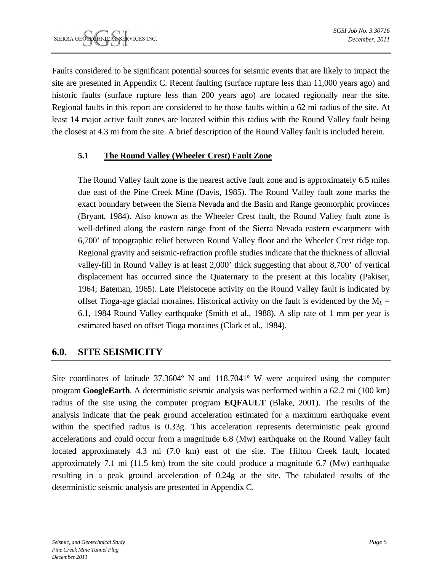Faults considered to be significant potential sources for seismic events that are likely to impact the site are presented in Appendix C. Recent faulting (surface rupture less than 11,000 years ago) and historic faults (surface rupture less than 200 years ago) are located regionally near the site. Regional faults in this report are considered to be those faults within a 62 mi radius of the site. At least 14 major active fault zones are located within this radius with the Round Valley fault being the closest at 4.3 mi from the site. A brief description of the Round Valley fault is included herein.

## **5.1 The Round Valley (Wheeler Crest) Fault Zone**

The Round Valley fault zone is the nearest active fault zone and is approximately 6.5 miles due east of the Pine Creek Mine (Davis, 1985). The Round Valley fault zone marks the exact boundary between the Sierra Nevada and the Basin and Range geomorphic provinces (Bryant, 1984). Also known as the Wheeler Crest fault, the Round Valley fault zone is well-defined along the eastern range front of the Sierra Nevada eastern escarpment with 6,700' of topographic relief between Round Valley floor and the Wheeler Crest ridge top. Regional gravity and seismic-refraction profile studies indicate that the thickness of alluvial valley-fill in Round Valley is at least 2,000' thick suggesting that about 8,700' of vertical displacement has occurred since the Quaternary to the present at this locality (Pakiser, 1964; Bateman, 1965). Late Pleistocene activity on the Round Valley fault is indicated by offset Tioga-age glacial moraines. Historical activity on the fault is evidenced by the M*L* = 6.1, 1984 Round Valley earthquake (Smith et al., 1988). A slip rate of 1 mm per year is estimated based on offset Tioga moraines (Clark et al., 1984).

## **6.0. SITE SEISMICITY**

Site coordinates of latitude 37.3604º N and 118.7041º W were acquired using the computer program **GoogleEarth**. A deterministic seismic analysis was performed within a 62.2 mi (100 km) radius of the site using the computer program **EQFAULT** (Blake, 2001). The results of the analysis indicate that the peak ground acceleration estimated for a maximum earthquake event within the specified radius is 0.33g. This acceleration represents deterministic peak ground accelerations and could occur from a magnitude 6.8 (Mw) earthquake on the Round Valley fault located approximately 4.3 mi (7.0 km) east of the site. The Hilton Creek fault, located approximately 7.1 mi (11.5 km) from the site could produce a magnitude 6.7 (Mw) earthquake resulting in a peak ground acceleration of 0.24g at the site. The tabulated results of the deterministic seismic analysis are presented in Appendix C.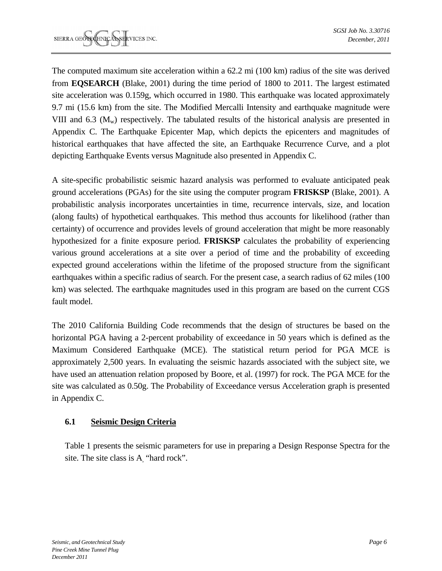The computed maximum site acceleration within a 62.2 mi (100 km) radius of the site was derived from **EQSEARCH** (Blake, 2001) during the time period of 1800 to 2011. The largest estimated site acceleration was 0.159g, which occurred in 1980. This earthquake was located approximately 9.7 mi (15.6 km) from the site. The Modified Mercalli Intensity and earthquake magnitude were VIII and 6.3  $(M<sub>w</sub>)$  respectively. The tabulated results of the historical analysis are presented in Appendix C. The Earthquake Epicenter Map, which depicts the epicenters and magnitudes of historical earthquakes that have affected the site, an Earthquake Recurrence Curve, and a plot depicting Earthquake Events versus Magnitude also presented in Appendix C.

A site-specific probabilistic seismic hazard analysis was performed to evaluate anticipated peak ground accelerations (PGAs) for the site using the computer program **FRISKSP** (Blake, 2001). A probabilistic analysis incorporates uncertainties in time, recurrence intervals, size, and location (along faults) of hypothetical earthquakes. This method thus accounts for likelihood (rather than certainty) of occurrence and provides levels of ground acceleration that might be more reasonably hypothesized for a finite exposure period. **FRISKSP** calculates the probability of experiencing various ground accelerations at a site over a period of time and the probability of exceeding expected ground accelerations within the lifetime of the proposed structure from the significant earthquakes within a specific radius of search. For the present case, a search radius of 62 miles (100 km) was selected. The earthquake magnitudes used in this program are based on the current CGS fault model.

The 2010 California Building Code recommends that the design of structures be based on the horizontal PGA having a 2-percent probability of exceedance in 50 years which is defined as the Maximum Considered Earthquake (MCE). The statistical return period for PGA MCE is approximately 2,500 years. In evaluating the seismic hazards associated with the subject site, we have used an attenuation relation proposed by Boore, et al. (1997) for rock. The PGA MCE for the site was calculated as 0.50g. The Probability of Exceedance versus Acceleration graph is presented in Appendix C.

## **6.1 Seismic Design Criteria**

Table 1 presents the seismic parameters for use in preparing a Design Response Spectra for the site. The site class is A "hard rock".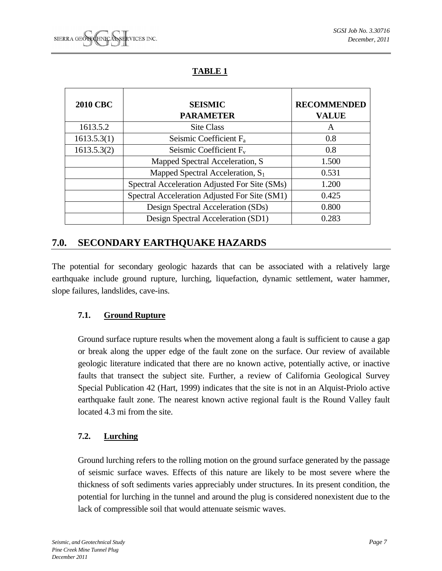## **TABLE 1**

| <b>2010 CBC</b> | <b>SEISMIC</b><br><b>PARAMETER</b>            | <b>RECOMMENDED</b><br><b>VALUE</b> |
|-----------------|-----------------------------------------------|------------------------------------|
| 1613.5.2        | <b>Site Class</b>                             | A                                  |
| 1613.5.3(1)     | Seismic Coefficient $F_a$                     | 0.8                                |
| 1613.5.3(2)     | Seismic Coefficient $F_v$                     | 0.8                                |
|                 | Mapped Spectral Acceleration, S               | 1.500                              |
|                 | Mapped Spectral Acceleration, $S_1$           | 0.531                              |
|                 | Spectral Acceleration Adjusted For Site (SMs) | 1.200                              |
|                 | Spectral Acceleration Adjusted For Site (SM1) | 0.425                              |
|                 | Design Spectral Acceleration (SDs)            | 0.800                              |
|                 | Design Spectral Acceleration (SD1)            | 0.283                              |

## **7.0. SECONDARY EARTHQUAKE HAZARDS**

The potential for secondary geologic hazards that can be associated with a relatively large earthquake include ground rupture, lurching, liquefaction, dynamic settlement, water hammer, slope failures, landslides, cave-ins.

## **7.1. Ground Rupture**

Ground surface rupture results when the movement along a fault is sufficient to cause a gap or break along the upper edge of the fault zone on the surface. Our review of available geologic literature indicated that there are no known active, potentially active, or inactive faults that transect the subject site. Further, a review of California Geological Survey Special Publication 42 (Hart, 1999) indicates that the site is not in an Alquist-Priolo active earthquake fault zone. The nearest known active regional fault is the Round Valley fault located 4.3 mi from the site.

## **7.2. Lurching**

Ground lurching refers to the rolling motion on the ground surface generated by the passage of seismic surface waves. Effects of this nature are likely to be most severe where the thickness of soft sediments varies appreciably under structures. In its present condition, the potential for lurching in the tunnel and around the plug is considered nonexistent due to the lack of compressible soil that would attenuate seismic waves.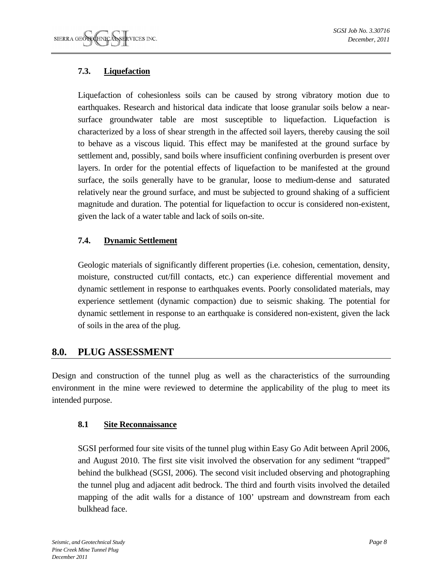## **7.3. Liquefaction**

Liquefaction of cohesionless soils can be caused by strong vibratory motion due to earthquakes. Research and historical data indicate that loose granular soils below a nearsurface groundwater table are most susceptible to liquefaction. Liquefaction is characterized by a loss of shear strength in the affected soil layers, thereby causing the soil to behave as a viscous liquid. This effect may be manifested at the ground surface by settlement and, possibly, sand boils where insufficient confining overburden is present over layers. In order for the potential effects of liquefaction to be manifested at the ground surface, the soils generally have to be granular, loose to medium-dense and saturated relatively near the ground surface, and must be subjected to ground shaking of a sufficient magnitude and duration. The potential for liquefaction to occur is considered non-existent, given the lack of a water table and lack of soils on-site.

## **7.4. Dynamic Settlement**

Geologic materials of significantly different properties (i.e. cohesion, cementation, density, moisture, constructed cut/fill contacts, etc.) can experience differential movement and dynamic settlement in response to earthquakes events. Poorly consolidated materials, may experience settlement (dynamic compaction) due to seismic shaking. The potential for dynamic settlement in response to an earthquake is considered non-existent, given the lack of soils in the area of the plug.

## **8.0. PLUG ASSESSMENT**

Design and construction of the tunnel plug as well as the characteristics of the surrounding environment in the mine were reviewed to determine the applicability of the plug to meet its intended purpose.

## **8.1 Site Reconnaissance**

SGSI performed four site visits of the tunnel plug within Easy Go Adit between April 2006, and August 2010. The first site visit involved the observation for any sediment "trapped" behind the bulkhead (SGSI, 2006). The second visit included observing and photographing the tunnel plug and adjacent adit bedrock. The third and fourth visits involved the detailed mapping of the adit walls for a distance of 100' upstream and downstream from each bulkhead face.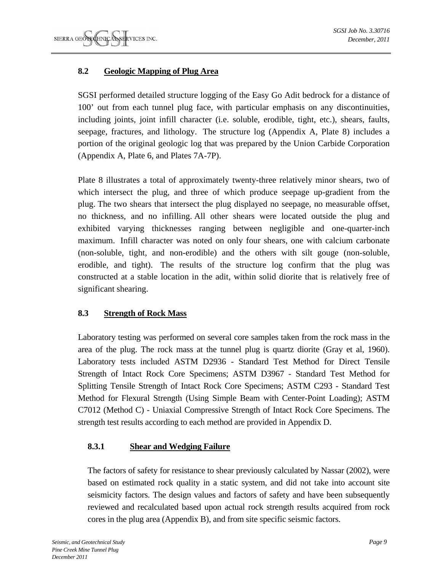## **8.2 Geologic Mapping of Plug Area**

SGSI performed detailed structure logging of the Easy Go Adit bedrock for a distance of 100' out from each tunnel plug face, with particular emphasis on any discontinuities, including joints, joint infill character (i.e. soluble, erodible, tight, etc.), shears, faults, seepage, fractures, and lithology. The structure log (Appendix A, Plate 8) includes a portion of the original geologic log that was prepared by the Union Carbide Corporation (Appendix A, Plate 6, and Plates 7A-7P).

Plate 8 illustrates a total of approximately twenty-three relatively minor shears, two of which intersect the plug, and three of which produce seepage up-gradient from the plug. The two shears that intersect the plug displayed no seepage, no measurable offset, no thickness, and no infilling. All other shears were located outside the plug and exhibited varying thicknesses ranging between negligible and one-quarter-inch maximum. Infill character was noted on only four shears, one with calcium carbonate (non-soluble, tight, and non-erodible) and the others with silt gouge (non-soluble, erodible, and tight). The results of the structure log confirm that the plug was constructed at a stable location in the adit, within solid diorite that is relatively free of significant shearing.

## **8.3 Strength of Rock Mass**

Laboratory testing was performed on several core samples taken from the rock mass in the area of the plug. The rock mass at the tunnel plug is quartz diorite (Gray et al, 1960). Laboratory tests included ASTM D2936 - Standard Test Method for Direct Tensile Strength of Intact Rock Core Specimens; ASTM D3967 - Standard Test Method for Splitting Tensile Strength of Intact Rock Core Specimens; ASTM C293 - Standard Test Method for Flexural Strength (Using Simple Beam with Center-Point Loading); ASTM C7012 (Method C) - Uniaxial Compressive Strength of Intact Rock Core Specimens. The strength test results according to each method are provided in Appendix D.

## **8.3.1 Shear and Wedging Failure**

The factors of safety for resistance to shear previously calculated by Nassar (2002), were based on estimated rock quality in a static system, and did not take into account site seismicity factors. The design values and factors of safety and have been subsequently reviewed and recalculated based upon actual rock strength results acquired from rock cores in the plug area (Appendix B), and from site specific seismic factors.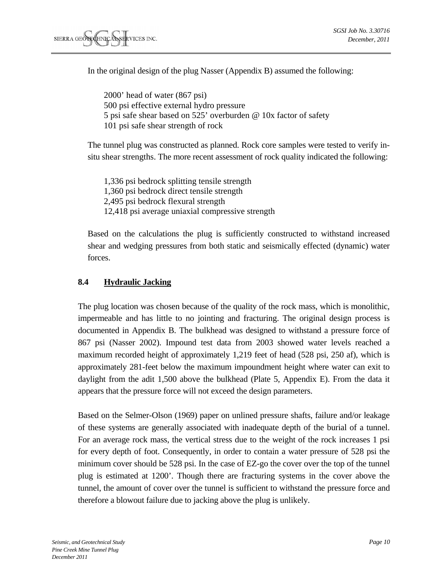In the original design of the plug Nasser (Appendix B) assumed the following:

2000' head of water (867 psi) 500 psi effective external hydro pressure 5 psi safe shear based on 525' overburden @ 10x factor of safety 101 psi safe shear strength of rock

The tunnel plug was constructed as planned. Rock core samples were tested to verify insitu shear strengths. The more recent assessment of rock quality indicated the following:

1,336 psi bedrock splitting tensile strength 1,360 psi bedrock direct tensile strength 2,495 psi bedrock flexural strength 12,418 psi average uniaxial compressive strength

Based on the calculations the plug is sufficiently constructed to withstand increased shear and wedging pressures from both static and seismically effected (dynamic) water forces.

#### **8.4 Hydraulic Jacking**

The plug location was chosen because of the quality of the rock mass, which is monolithic, impermeable and has little to no jointing and fracturing. The original design process is documented in Appendix B. The bulkhead was designed to withstand a pressure force of 867 psi (Nasser 2002). Impound test data from 2003 showed water levels reached a maximum recorded height of approximately 1,219 feet of head (528 psi, 250 af), which is approximately 281-feet below the maximum impoundment height where water can exit to daylight from the adit 1,500 above the bulkhead (Plate 5, Appendix E). From the data it appears that the pressure force will not exceed the design parameters.

Based on the Selmer-Olson (1969) paper on unlined pressure shafts, failure and/or leakage of these systems are generally associated with inadequate depth of the burial of a tunnel. For an average rock mass, the vertical stress due to the weight of the rock increases 1 psi for every depth of foot. Consequently, in order to contain a water pressure of 528 psi the minimum cover should be 528 psi. In the case of EZ-go the cover over the top of the tunnel plug is estimated at 1200'. Though there are fracturing systems in the cover above the tunnel, the amount of cover over the tunnel is sufficient to withstand the pressure force and therefore a blowout failure due to jacking above the plug is unlikely.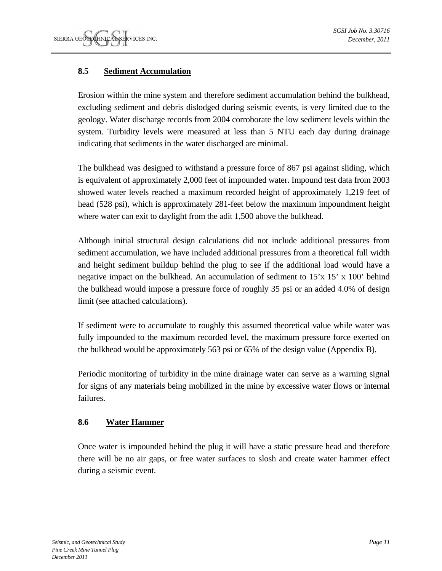## **8.5 Sediment Accumulation**

Erosion within the mine system and therefore sediment accumulation behind the bulkhead, excluding sediment and debris dislodged during seismic events, is very limited due to the geology. Water discharge records from 2004 corroborate the low sediment levels within the system. Turbidity levels were measured at less than 5 NTU each day during drainage indicating that sediments in the water discharged are minimal.

The bulkhead was designed to withstand a pressure force of 867 psi against sliding, which is equivalent of approximately 2,000 feet of impounded water. Impound test data from 2003 showed water levels reached a maximum recorded height of approximately 1,219 feet of head (528 psi), which is approximately 281-feet below the maximum impoundment height where water can exit to daylight from the adit 1,500 above the bulkhead.

Although initial structural design calculations did not include additional pressures from sediment accumulation, we have included additional pressures from a theoretical full width and height sediment buildup behind the plug to see if the additional load would have a negative impact on the bulkhead. An accumulation of sediment to 15'x 15' x 100' behind the bulkhead would impose a pressure force of roughly 35 psi or an added 4.0% of design limit (see attached calculations).

If sediment were to accumulate to roughly this assumed theoretical value while water was fully impounded to the maximum recorded level, the maximum pressure force exerted on the bulkhead would be approximately 563 psi or 65% of the design value (Appendix B).

Periodic monitoring of turbidity in the mine drainage water can serve as a warning signal for signs of any materials being mobilized in the mine by excessive water flows or internal failures.

## **8.6 Water Hammer**

Once water is impounded behind the plug it will have a static pressure head and therefore there will be no air gaps, or free water surfaces to slosh and create water hammer effect during a seismic event.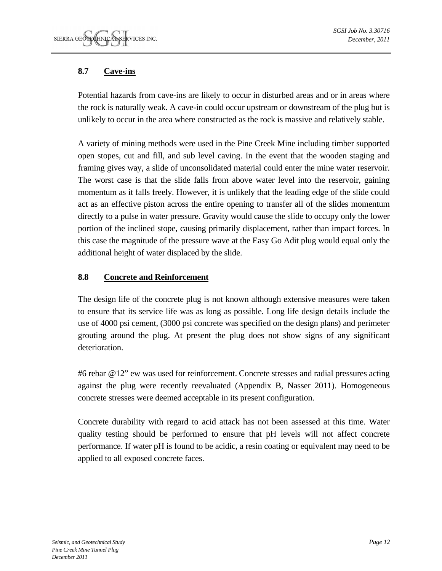## **8.7 Cave-ins**

Potential hazards from cave-ins are likely to occur in disturbed areas and or in areas where the rock is naturally weak. A cave-in could occur upstream or downstream of the plug but is unlikely to occur in the area where constructed as the rock is massive and relatively stable.

A variety of mining methods were used in the Pine Creek Mine including timber supported open stopes, cut and fill, and sub level caving. In the event that the wooden staging and framing gives way, a slide of unconsolidated material could enter the mine water reservoir. The worst case is that the slide falls from above water level into the reservoir, gaining momentum as it falls freely. However, it is unlikely that the leading edge of the slide could act as an effective piston across the entire opening to transfer all of the slides momentum directly to a pulse in water pressure. Gravity would cause the slide to occupy only the lower portion of the inclined stope, causing primarily displacement, rather than impact forces. In this case the magnitude of the pressure wave at the Easy Go Adit plug would equal only the additional height of water displaced by the slide.

## **8.8 Concrete and Reinforcement**

The design life of the concrete plug is not known although extensive measures were taken to ensure that its service life was as long as possible. Long life design details include the use of 4000 psi cement, (3000 psi concrete was specified on the design plans) and perimeter grouting around the plug. At present the plug does not show signs of any significant deterioration.

#6 rebar @12" ew was used for reinforcement. Concrete stresses and radial pressures acting against the plug were recently reevaluated (Appendix B, Nasser 2011). Homogeneous concrete stresses were deemed acceptable in its present configuration.

Concrete durability with regard to acid attack has not been assessed at this time. Water quality testing should be performed to ensure that pH levels will not affect concrete performance. If water pH is found to be acidic, a resin coating or equivalent may need to be applied to all exposed concrete faces.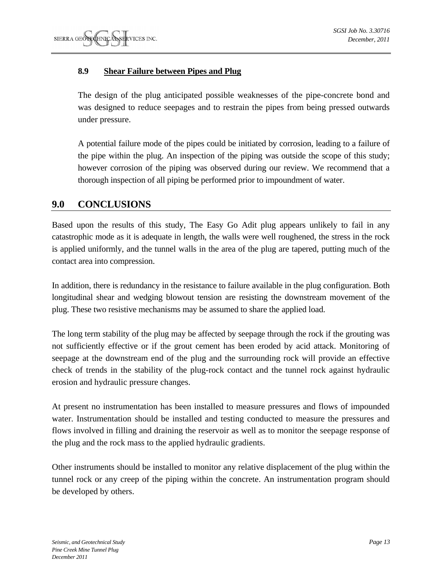## **8.9 Shear Failure between Pipes and Plug**

The design of the plug anticipated possible weaknesses of the pipe-concrete bond and was designed to reduce seepages and to restrain the pipes from being pressed outwards under pressure.

A potential failure mode of the pipes could be initiated by corrosion, leading to a failure of the pipe within the plug. An inspection of the piping was outside the scope of this study; however corrosion of the piping was observed during our review. We recommend that a thorough inspection of all piping be performed prior to impoundment of water.

## **9.0 CONCLUSIONS**

Based upon the results of this study, The Easy Go Adit plug appears unlikely to fail in any catastrophic mode as it is adequate in length, the walls were well roughened, the stress in the rock is applied uniformly, and the tunnel walls in the area of the plug are tapered, putting much of the contact area into compression.

In addition, there is redundancy in the resistance to failure available in the plug configuration. Both longitudinal shear and wedging blowout tension are resisting the downstream movement of the plug. These two resistive mechanisms may be assumed to share the applied load.

The long term stability of the plug may be affected by seepage through the rock if the grouting was not sufficiently effective or if the grout cement has been eroded by acid attack. Monitoring of seepage at the downstream end of the plug and the surrounding rock will provide an effective check of trends in the stability of the plug-rock contact and the tunnel rock against hydraulic erosion and hydraulic pressure changes.

At present no instrumentation has been installed to measure pressures and flows of impounded water. Instrumentation should be installed and testing conducted to measure the pressures and flows involved in filling and draining the reservoir as well as to monitor the seepage response of the plug and the rock mass to the applied hydraulic gradients.

Other instruments should be installed to monitor any relative displacement of the plug within the tunnel rock or any creep of the piping within the concrete. An instrumentation program should be developed by others.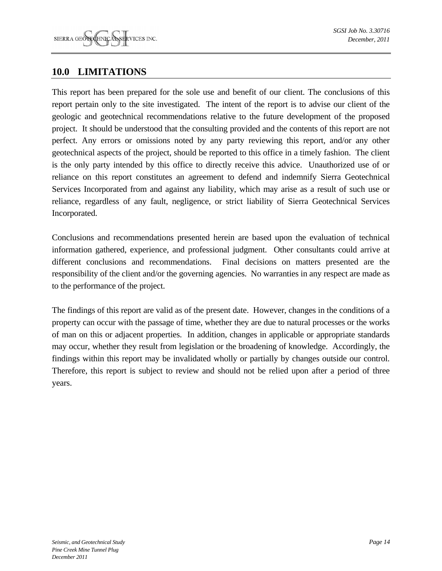## **10.0 LIMITATIONS**

This report has been prepared for the sole use and benefit of our client. The conclusions of this report pertain only to the site investigated. The intent of the report is to advise our client of the geologic and geotechnical recommendations relative to the future development of the proposed project. It should be understood that the consulting provided and the contents of this report are not perfect. Any errors or omissions noted by any party reviewing this report, and/or any other geotechnical aspects of the project, should be reported to this office in a timely fashion. The client is the only party intended by this office to directly receive this advice. Unauthorized use of or reliance on this report constitutes an agreement to defend and indemnify Sierra Geotechnical Services Incorporated from and against any liability, which may arise as a result of such use or reliance, regardless of any fault, negligence, or strict liability of Sierra Geotechnical Services Incorporated.

Conclusions and recommendations presented herein are based upon the evaluation of technical information gathered, experience, and professional judgment. Other consultants could arrive at different conclusions and recommendations. Final decisions on matters presented are the responsibility of the client and/or the governing agencies. No warranties in any respect are made as to the performance of the project.

The findings of this report are valid as of the present date. However, changes in the conditions of a property can occur with the passage of time, whether they are due to natural processes or the works of man on this or adjacent properties. In addition, changes in applicable or appropriate standards may occur, whether they result from legislation or the broadening of knowledge. Accordingly, the findings within this report may be invalidated wholly or partially by changes outside our control. Therefore, this report is subject to review and should not be relied upon after a period of three years.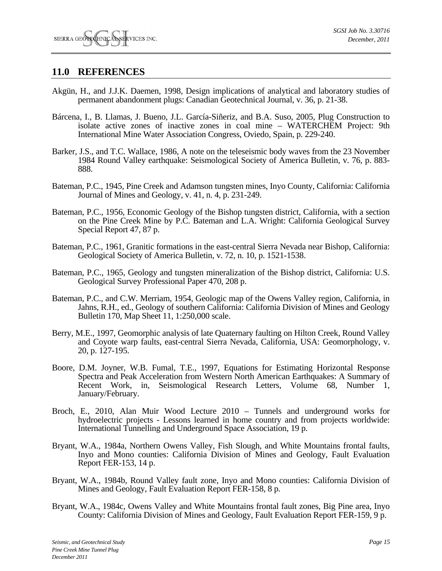## **11.0 REFERENCES**

- Akgün, H., and J.J.K. Daemen, 1998, Design implications of analytical and laboratory studies of permanent abandonment plugs: Canadian Geotechnical Journal, v. 36, p. 21-38.
- Bárcena, I., B. Llamas, J. Bueno, J.L. García-Siñeriz, and B.A. Suso, 2005, Plug Construction to isolate active zones of inactive zones in coal mine – WATERCHEM Project: 9th International Mine Water Association Congress, Oviedo, Spain, p. 229-240.
- Barker, J.S., and T.C. Wallace, 1986, A note on the teleseismic body waves from the 23 November 1984 Round Valley earthquake: Seismological Society of America Bulletin, v. 76, p. 883- 888.
- Bateman, P.C., 1945, Pine Creek and Adamson tungsten mines, Inyo County, California: California Journal of Mines and Geology, v. 41, n. 4, p. 231-249.
- Bateman, P.C., 1956, Economic Geology of the Bishop tungsten district, California, with a section on the Pine Creek Mine by P.C. Bateman and L.A. Wright: California Geological Survey Special Report 47, 87 p.
- Bateman, P.C., 1961, Granitic formations in the east-central Sierra Nevada near Bishop, California: Geological Society of America Bulletin, v. 72, n. 10, p. 1521-1538.
- Bateman, P.C., 1965, Geology and tungsten mineralization of the Bishop district, California: U.S. Geological Survey Professional Paper 470, 208 p.
- Bateman, P.C., and C.W. Merriam, 1954, Geologic map of the Owens Valley region, California, in Jahns, R.H., ed., Geology of southern California: California Division of Mines and Geology Bulletin 170, Map Sheet 11, 1:250,000 scale.
- Berry, M.E., 1997, Geomorphic analysis of late Quaternary faulting on Hilton Creek, Round Valley and Coyote warp faults, east-central Sierra Nevada, California, USA: Geomorphology, v. 20, p. 127-195.
- Boore, D.M. Joyner, W.B. Fumal, T.E., 1997, Equations for Estimating Horizontal Response Spectra and Peak Acceleration from Western North American Earthquakes: A Summary of Recent Work, in, Seismological Research Letters, Volume 68, Number 1, January/February.
- Broch, E., 2010, Alan Muir Wood Lecture 2010 Tunnels and underground works for hydroelectric projects - Lessons learned in home country and from projects worldwide: International Tunnelling and Underground Space Association, 19 p.
- Bryant, W.A., 1984a, Northern Owens Valley, Fish Slough, and White Mountains frontal faults, Inyo and Mono counties: California Division of Mines and Geology, Fault Evaluation Report FER-153, 14 p.
- Bryant, W.A., 1984b, Round Valley fault zone, Inyo and Mono counties: California Division of Mines and Geology, Fault Evaluation Report FER-158, 8 p.
- Bryant, W.A., 1984c, Owens Valley and White Mountains frontal fault zones, Big Pine area, Inyo County: California Division of Mines and Geology, Fault Evaluation Report FER-159, 9 p.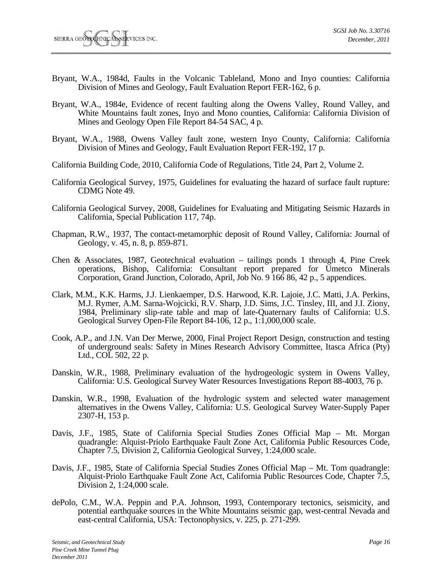- Bryant, W.A., 1984d, Faults in the Volcanic Tableland, Mono and Inyo counties: California Division of Mines and Geology, Fault Evaluation Report FER-162, 6 p.
- Bryant, W.A., 1984e, Evidence of recent faulting along the Owens Valley, Round Valley, and White Mountains fault zones, Inyo and Mono counties, California: California Division of Mines and Geology Open File Report 84-54 SAC, 4 p.
- Bryant, W.A., 1988, Owens Valley fault zone, western Inyo County, California: California Division of Mines and Geology, Fault Evaluation Report FER-192, 17 p.
- California Building Code, 2010, California Code of Regulations, Title 24, Part 2, Volume 2.
- California Geological Survey, 1975, Guidelines for evaluating the hazard of surface fault rupture: CDMG Note 49.
- California Geological Survey, 2008, Guidelines for Evaluating and Mitigating Seismic Hazards in California, Special Publication 117, 74p.
- Chapman, R.W., 1937, The contact-metamorphic deposit of Round Valley, California: Journal of Geology, v. 45, n. 8, p. 859-871.
- Chen & Associates, 1987, Geotechnical evaluation tailings ponds 1 through 4, Pine Creek operations, Bishop, California: Consultant report prepared for Umetco Minerals Corporation, Grand Junction, Colorado, April, Job No. 9 166 86, 42 p., 5 appendices.
- Clark, M.M., K.K. Harms, J.J. Lienkaemper, D.S. Harwood, K.R. Lajoie, J.C. Matti, J.A. Perkins, M.J. Rymer, A.M. Sarna-Wojcicki, R.V. Sharp, J.D. Sims, J.C. Tinsley, III, and J.I. Ziony, 1984, Preliminary slip-rate table and map of late-Quaternary faults of California: U.S. Geological Survey Open-File Report 84-106, 12 p., 1:1,000,000 scale.
- Cook, A.P., and J.N. Van Der Merwe, 2000, Final Project Report Design, construction and testing of underground seals: Safety in Mines Research Advisory Committee, Itasca Africa (Pty) Ltd., COL 502, 22 p.
- Danskin, W.R., 1988, Preliminary evaluation of the hydrogeologic system in Owens Valley, California: U.S. Geological Survey Water Resources Investigations Report 88-4003, 76 p.
- Danskin, W.R., 1998, Evaluation of the hydrologic system and selected water management alternatives in the Owens Valley, California: U.S. Geological Survey Water-Supply Paper 2307-H, 153 p.
- Davis, J.F., 1985, State of California Special Studies Zones Official Map Mt. Morgan quadrangle: Alquist-Priolo Earthquake Fault Zone Act, California Public Resources Code, Chapter 7.5, Division 2, California Geological Survey, 1:24,000 scale.
- Davis, J.F., 1985, State of California Special Studies Zones Official Map Mt. Tom quadrangle: Alquist-Priolo Earthquake Fault Zone Act, California Public Resources Code, Chapter 7.5, Division 2, 1:24,000 scale.
- dePolo, C.M., W.A. Peppin and P.A. Johnson, 1993, Contemporary tectonics, seismicity, and potential earthquake sources in the White Mountains seismic gap, west-central Nevada and east-central California, USA: Tectonophysics, v. 225, p. 271-299.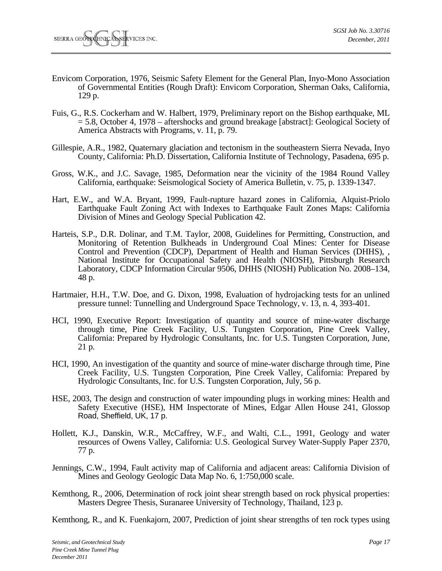- Envicom Corporation, 1976, Seismic Safety Element for the General Plan, Inyo-Mono Association of Governmental Entities (Rough Draft): Envicom Corporation, Sherman Oaks, California, 129 p.
- Fuis, G., R.S. Cockerham and W. Halbert, 1979, Preliminary report on the Bishop earthquake, ML = 5.8, October 4, 1978 – aftershocks and ground breakage [abstract]: Geological Society of America Abstracts with Programs, v. 11, p. 79.
- Gillespie, A.R., 1982, Quaternary glaciation and tectonism in the southeastern Sierra Nevada, Inyo County, California: Ph.D. Dissertation, California Institute of Technology, Pasadena, 695 p.
- Gross, W.K., and J.C. Savage, 1985, Deformation near the vicinity of the 1984 Round Valley California, earthquake: Seismological Society of America Bulletin, v. 75, p. 1339-1347.
- Hart, E.W., and W.A. Bryant, 1999, Fault-rupture hazard zones in California, Alquist-Priolo Earthquake Fault Zoning Act with Indexes to Earthquake Fault Zones Maps: California Division of Mines and Geology Special Publication 42.
- Harteis, S.P., D.R. Dolinar, and T.M. Taylor, 2008, Guidelines for Permitting, Construction, and Monitoring of Retention Bulkheads in Underground Coal Mines: Center for Disease Control and Prevention (CDCP), Department of Health and Human Services (DHHS), , National Institute for Occupational Safety and Health (NIOSH), Pittsburgh Research Laboratory, CDCP Information Circular 9506, DHHS (NIOSH) Publication No. 2008–134, 48 p.
- Hartmaier, H.H., T.W. Doe, and G. Dixon, 1998, Evaluation of hydrojacking tests for an unlined pressure tunnel: Tunnelling and Underground Space Technology, v. 13, n. 4, 393-401.
- HCI, 1990, Executive Report: Investigation of quantity and source of mine-water discharge through time, Pine Creek Facility, U.S. Tungsten Corporation, Pine Creek Valley, California: Prepared by Hydrologic Consultants, Inc. for U.S. Tungsten Corporation, June, 21 p.
- HCI, 1990, An investigation of the quantity and source of mine-water discharge through time, Pine Creek Facility, U.S. Tungsten Corporation, Pine Creek Valley, California: Prepared by Hydrologic Consultants, Inc. for U.S. Tungsten Corporation, July, 56 p.
- HSE, 2003, The design and construction of water impounding plugs in working mines: Health and Safety Executive (HSE), HM Inspectorate of Mines, Edgar Allen House 241, Glossop Road, Sheffield, UK, 17 p.
- Hollett, K.J., Danskin, W.R., McCaffrey, W.F., and Walti, C.L., 1991, Geology and water resources of Owens Valley, California: U.S. Geological Survey Water-Supply Paper 2370, 77 p.
- Jennings, C.W., 1994, Fault activity map of California and adjacent areas: California Division of Mines and Geology Geologic Data Map No. 6, 1:750,000 scale.
- Kemthong, R., 2006, Determination of rock joint shear strength based on rock physical properties: Masters Degree Thesis, Suranaree University of Technology, Thailand, 123 p.

Kemthong, R., and K. Fuenkajorn, 2007, Prediction of joint shear strengths of ten rock types using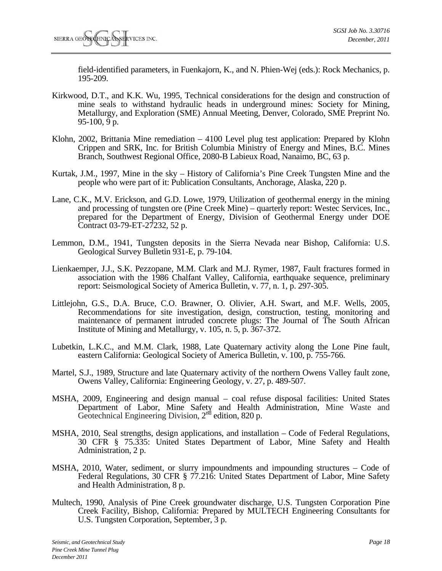field-identified parameters, in Fuenkajorn, K., and N. Phien-Wej (eds.): Rock Mechanics, p. 195-209.

- Kirkwood, D.T., and K.K. Wu, 1995, Technical considerations for the design and construction of mine seals to withstand hydraulic heads in underground mines: Society for Mining, Metallurgy, and Exploration (SME) Annual Meeting, Denver, Colorado, SME Preprint No. 95-100, 9 p.
- Klohn, 2002, Brittania Mine remediation 4100 Level plug test application: Prepared by Klohn Crippen and SRK, Inc. for British Columbia Ministry of Energy and Mines, B.C. Mines Branch, Southwest Regional Office, 2080-B Labieux Road, Nanaimo, BC, 63 p.
- Kurtak, J.M., 1997, Mine in the sky History of California's Pine Creek Tungsten Mine and the people who were part of it: Publication Consultants, Anchorage, Alaska, 220 p.
- Lane, C.K., M.V. Erickson, and G.D. Lowe, 1979, Utilization of geothermal energy in the mining and processing of tungsten ore (Pine Creek Mine) – quarterly report: Westec Services, Inc., prepared for the Department of Energy, Division of Geothermal Energy under DOE Contract 03-79-ET-27232, 52 p.
- Lemmon, D.M., 1941, Tungsten deposits in the Sierra Nevada near Bishop, California: U.S. Geological Survey Bulletin 931-E, p. 79-104.
- Lienkaemper, J.J., S.K. Pezzopane, M.M. Clark and M.J. Rymer, 1987, Fault fractures formed in association with the 1986 Chalfant Valley, California, earthquake sequence, preliminary report: Seismological Society of America Bulletin, v. 77, n. 1, p. 297-305.
- Littlejohn, G.S., D.A. Bruce, C.O. Brawner, O. Olivier, A.H. Swart, and M.F. Wells, 2005, Recommendations for site investigation, design, construction, testing, monitoring and maintenance of permanent intruded concrete plugs: The Journal of The South African Institute of Mining and Metallurgy, v. 105, n. 5, p. 367-372.
- Lubetkin, L.K.C., and M.M. Clark, 1988, Late Quaternary activity along the Lone Pine fault, eastern California: Geological Society of America Bulletin, v. 100, p. 755-766.
- Martel, S.J., 1989, Structure and late Quaternary activity of the northern Owens Valley fault zone, Owens Valley, California: Engineering Geology, v. 27, p. 489-507.
- MSHA, 2009, Engineering and design manual coal refuse disposal facilities: United States Department of Labor, Mine Safety and Health Administration, Mine Waste and Geotechnical Engineering Division,  $2<sup>nd</sup>$  edition, 820 p.
- MSHA, 2010, Seal strengths, design applications, and installation Code of Federal Regulations, 30 CFR § 75.335: United States Department of Labor, Mine Safety and Health Administration, 2 p.
- MSHA, 2010, Water, sediment, or slurry impoundments and impounding structures Code of Federal Regulations, 30 CFR § 77.216: United States Department of Labor, Mine Safety and Health Administration, 8 p.
- Multech, 1990, Analysis of Pine Creek groundwater discharge, U.S. Tungsten Corporation Pine Creek Facility, Bishop, California: Prepared by MULTECH Engineering Consultants for U.S. Tungsten Corporation, September, 3 p.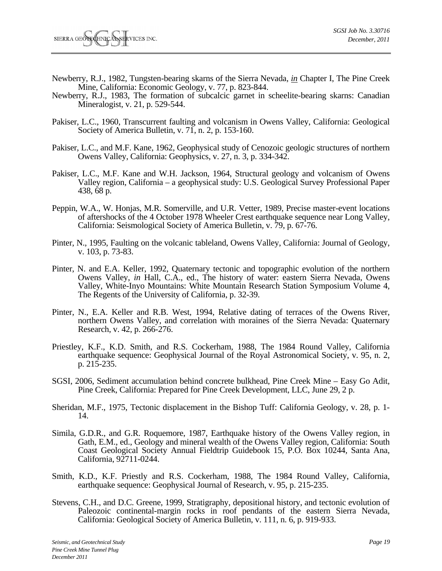- Newberry, R.J., 1982, Tungsten-bearing skarns of the Sierra Nevada, *in* Chapter I, The Pine Creek Mine, California: Economic Geology, v. 77, p. 823-844.
- Newberry, R.J., 1983, The formation of subcalcic garnet in scheelite-bearing skarns: Canadian Mineralogist, v. 21, p. 529-544.
- Pakiser, L.C., 1960, Transcurrent faulting and volcanism in Owens Valley, California: Geological Society of America Bulletin, v. 71, n. 2, p. 153-160.
- Pakiser, L.C., and M.F. Kane, 1962, Geophysical study of Cenozoic geologic structures of northern Owens Valley, California: Geophysics, v. 27, n. 3, p. 334-342.
- Pakiser, L.C., M.F. Kane and W.H. Jackson, 1964, Structural geology and volcanism of Owens Valley region, California – a geophysical study: U.S. Geological Survey Professional Paper 438, 68 p.
- Peppin, W.A., W. Honjas, M.R. Somerville, and U.R. Vetter, 1989, Precise master-event locations of aftershocks of the 4 October 1978 Wheeler Crest earthquake sequence near Long Valley, California: Seismological Society of America Bulletin, v. 79, p. 67-76.
- Pinter, N., 1995, Faulting on the volcanic tableland, Owens Valley, California: Journal of Geology, v. 103, p. 73-83.
- Pinter, N. and E.A. Keller, 1992, Quaternary tectonic and topographic evolution of the northern Owens Valley, *in* Hall, C.A., ed., The history of water: eastern Sierra Nevada, Owens Valley, White-Inyo Mountains: White Mountain Research Station Symposium Volume 4, The Regents of the University of California, p. 32-39.
- Pinter, N., E.A. Keller and R.B. West, 1994, Relative dating of terraces of the Owens River, northern Owens Valley, and correlation with moraines of the Sierra Nevada: Quaternary Research, v. 42, p. 266-276.
- Priestley, K.F., K.D. Smith, and R.S. Cockerham, 1988, The 1984 Round Valley, California earthquake sequence: Geophysical Journal of the Royal Astronomical Society, v. 95, n. 2, p. 215-235.
- SGSI, 2006, Sediment accumulation behind concrete bulkhead, Pine Creek Mine Easy Go Adit, Pine Creek, California: Prepared for Pine Creek Development, LLC, June 29, 2 p.
- Sheridan, M.F., 1975, Tectonic displacement in the Bishop Tuff: California Geology, v. 28, p. 1- 14.
- Simila, G.D.R., and G.R. Roquemore, 1987, Earthquake history of the Owens Valley region, in Gath, E.M., ed., Geology and mineral wealth of the Owens Valley region, California: South Coast Geological Society Annual Fieldtrip Guidebook 15, P.O. Box 10244, Santa Ana, California, 92711-0244.
- Smith, K.D., K.F. Priestly and R.S. Cockerham, 1988, The 1984 Round Valley, California, earthquake sequence: Geophysical Journal of Research, v. 95, p. 215-235.
- Stevens, C.H., and D.C. Greene, 1999, Stratigraphy, depositional history, and tectonic evolution of Paleozoic continental-margin rocks in roof pendants of the eastern Sierra Nevada, California: Geological Society of America Bulletin, v. 111, n. 6, p. 919-933.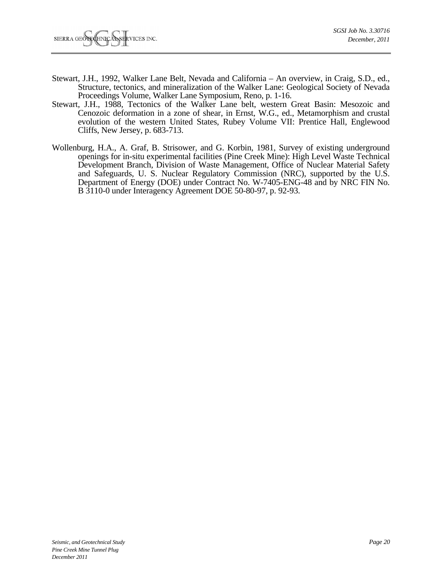- Stewart, J.H., 1992, Walker Lane Belt, Nevada and California An overview, in Craig, S.D., ed., Structure, tectonics, and mineralization of the Walker Lane: Geological Society of Nevada Proceedings Volume, Walker Lane Symposium, Reno, p. 1-16.
- Stewart, J.H., 1988, Tectonics of the Walker Lane belt, western Great Basin: Mesozoic and Cenozoic deformation in a zone of shear, in Ernst, W.G., ed., Metamorphism and crustal evolution of the western United States, Rubey Volume VII: Prentice Hall, Englewood Cliffs, New Jersey, p. 683-713.
- Wollenburg, H.A., A. Graf, B. Strisower, and G. Korbin, 1981, Survey of existing underground openings for in-situ experimental facilities (Pine Creek Mine): High Level Waste Technical Development Branch, Division of Waste Management, Office of Nuclear Material Safety and Safeguards, U. S. Nuclear Regulatory Commission (NRC), supported by the U.S. Department of Energy (DOE) under Contract No. W-7405-ENG-48 and by NRC FIN No. B 3110-0 under Interagency Agreement DOE 50-80-97, p. 92-93.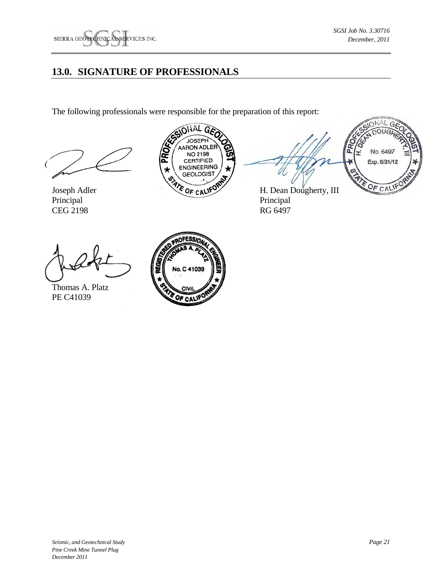## **13.0. SIGNATURE OF PROFESSIONALS**

The following professionals were responsible for the preparation of this report:



CEG 2198 RG 6497







Thomas A. Platz PE C41039

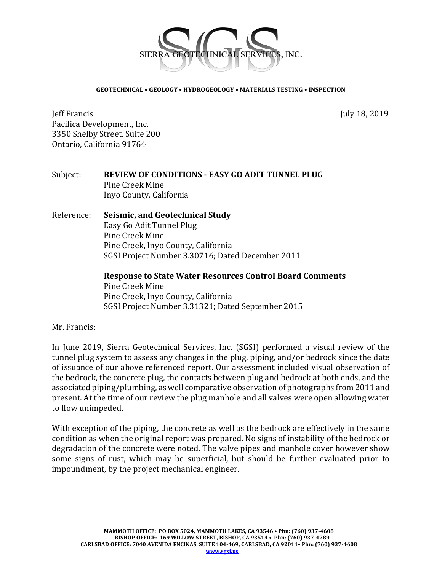

#### **GEOTECHNICAL • GEOLOGY • HYDROGEOLOGY • MATERIALS TESTING • INSPECTION**

Jeff Francis July 18, 2019 Pacifica Development, Inc. 3350 Shelby Street, Suite 200 Ontario, California 91764

#### Subject: **REVIEW OF CONDITIONS ‐ EASY GO ADIT TUNNEL PLUG** Pine Creek Mine Inyo County, California

## Reference: **Seismic, and Geotechnical Study** Easy Go Adit Tunnel Plug Pine Creek Mine Pine Creek, Inyo County, California SGSI Project Number 3.30716; Dated December 2011

**Response to State Water Resources Control Board Comments** Pine Creek Mine Pine Creek, Inyo County, California SGSI Project Number 3.31321; Dated September 2015

## Mr. Francis:

In June 2019, Sierra Geotechnical Services, Inc. (SGSI) performed a visual review of the tunnel plug system to assess any changes in the plug, piping, and/or bedrock since the date of issuance of our above referenced report. Our assessment included visual observation of the bedrock, the concrete plug, the contacts between plug and bedrock at both ends, and the associated piping/plumbing, as well comparative observation of photographs from 2011 and present. At the time of our review the plug manhole and all valves were open allowing water to flow unimpeded.

With exception of the piping, the concrete as well as the bedrock are effectively in the same condition as when the original report was prepared. No signs of instability of the bedrock or degradation of the concrete were noted. The valve pipes and manhole cover however show some signs of rust, which may be superficial, but should be further evaluated prior to impoundment, by the project mechanical engineer.